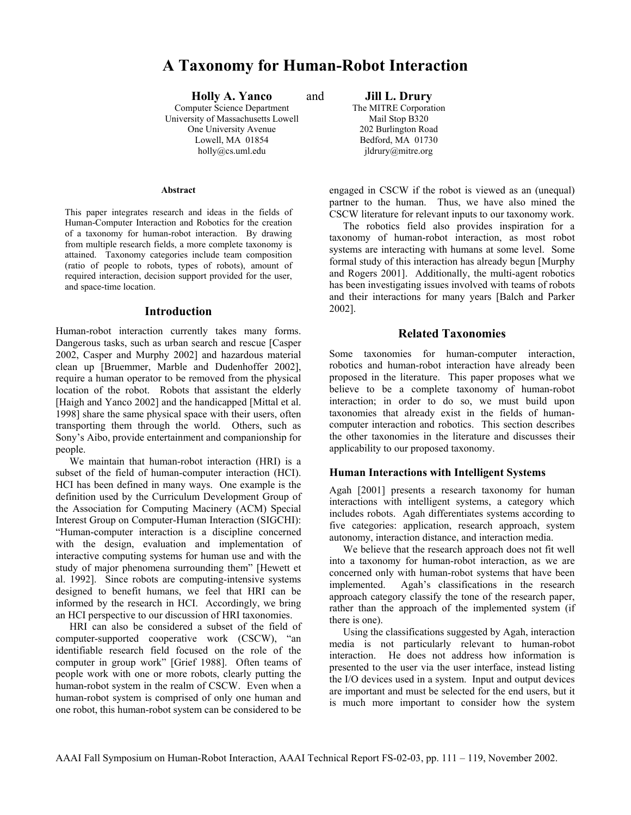# **A Taxonomy for Human-Robot Interaction**

**Holly A. Yanco** and **Jill L. Drury** *puter Science Department* The MITRE Corporation Computer Science Department University of Massachusetts Lowell Mail Stop B320 One University Avenue 202 Burlington Road Lowell, MA 01854 Bedford, MA 01730 holly@cs.uml.edu jldrury@mitre.org

#### **Abstract**

This paper integrates research and ideas in the fields of Human-Computer Interaction and Robotics for the creation of a taxonomy for human-robot interaction. By drawing from multiple research fields, a more complete taxonomy is attained. Taxonomy categories include team composition (ratio of people to robots, types of robots), amount of required interaction, decision support provided for the user, and space-time location.

## **Introduction**

Human-robot interaction currently takes many forms. Dangerous tasks, such as urban search and rescue [Casper 2002, Casper and Murphy 2002] and hazardous material clean up [Bruemmer, Marble and Dudenhoffer 2002], require a human operator to be removed from the physical location of the robot. Robots that assistant the elderly [Haigh and Yanco 2002] and the handicapped [Mittal et al. 1998] share the same physical space with their users, often transporting them through the world. Others, such as Sony's Aibo, provide entertainment and companionship for people.

We maintain that human-robot interaction (HRI) is a subset of the field of human-computer interaction (HCI). HCI has been defined in many ways. One example is the definition used by the Curriculum Development Group of the Association for Computing Macinery (ACM) Special Interest Group on Computer-Human Interaction (SIGCHI): "Human-computer interaction is a discipline concerned with the design, evaluation and implementation of interactive computing systems for human use and with the study of major phenomena surrounding them" [Hewett et al. 1992]. Since robots are computing-intensive systems designed to benefit humans, we feel that HRI can be informed by the research in HCI. Accordingly, we bring an HCI perspective to our discussion of HRI taxonomies.

HRI can also be considered a subset of the field of computer-supported cooperative work (CSCW), "an identifiable research field focused on the role of the computer in group work" [Grief 1988]. Often teams of people work with one or more robots, clearly putting the human-robot system in the realm of CSCW. Even when a human-robot system is comprised of only one human and one robot, this human-robot system can be considered to be

engaged in CSCW if the robot is viewed as an (unequal) partner to the human. Thus, we have also mined the CSCW literature for relevant inputs to our taxonomy work.

The robotics field also provides inspiration for a taxonomy of human-robot interaction, as most robot systems are interacting with humans at some level. Some formal study of this interaction has already begun [Murphy and Rogers 2001]. Additionally, the multi-agent robotics has been investigating issues involved with teams of robots and their interactions for many years [Balch and Parker 2002].

## **Related Taxonomies**

Some taxonomies for human-computer interaction, robotics and human-robot interaction have already been proposed in the literature. This paper proposes what we believe to be a complete taxonomy of human-robot interaction; in order to do so, we must build upon taxonomies that already exist in the fields of humancomputer interaction and robotics. This section describes the other taxonomies in the literature and discusses their applicability to our proposed taxonomy.

## **Human Interactions with Intelligent Systems**

Agah [2001] presents a research taxonomy for human interactions with intelligent systems, a category which includes robots. Agah differentiates systems according to five categories: application, research approach, system autonomy, interaction distance, and interaction media.

We believe that the research approach does not fit well into a taxonomy for human-robot interaction, as we are concerned only with human-robot systems that have been implemented. Agah's classifications in the research approach category classify the tone of the research paper, rather than the approach of the implemented system (if there is one).

Using the classifications suggested by Agah, interaction media is not particularly relevant to human-robot interaction. He does not address how information is presented to the user via the user interface, instead listing the I/O devices used in a system. Input and output devices are important and must be selected for the end users, but it is much more important to consider how the system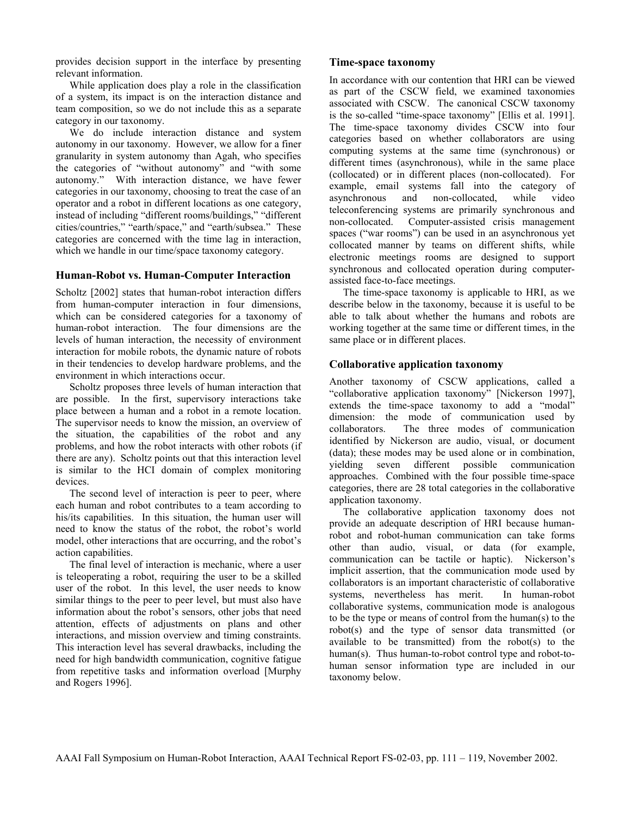provides decision support in the interface by presenting relevant information.

While application does play a role in the classification of a system, its impact is on the interaction distance and team composition, so we do not include this as a separate category in our taxonomy.

We do include interaction distance and system autonomy in our taxonomy. However, we allow for a finer granularity in system autonomy than Agah, who specifies the categories of "without autonomy" and "with some autonomy." With interaction distance, we have fewer categories in our taxonomy, choosing to treat the case of an operator and a robot in different locations as one category, instead of including "different rooms/buildings," "different cities/countries," "earth/space," and "earth/subsea." These categories are concerned with the time lag in interaction, which we handle in our time/space taxonomy category.

## **Human-Robot vs. Human-Computer Interaction**

Scholtz [2002] states that human-robot interaction differs from human-computer interaction in four dimensions, which can be considered categories for a taxonomy of human-robot interaction. The four dimensions are the levels of human interaction, the necessity of environment interaction for mobile robots, the dynamic nature of robots in their tendencies to develop hardware problems, and the environment in which interactions occur.

Scholtz proposes three levels of human interaction that are possible. In the first, supervisory interactions take place between a human and a robot in a remote location. The supervisor needs to know the mission, an overview of the situation, the capabilities of the robot and any problems, and how the robot interacts with other robots (if there are any). Scholtz points out that this interaction level is similar to the HCI domain of complex monitoring devices.

The second level of interaction is peer to peer, where each human and robot contributes to a team according to his/its capabilities. In this situation, the human user will need to know the status of the robot, the robot's world model, other interactions that are occurring, and the robot's action capabilities.

The final level of interaction is mechanic, where a user is teleoperating a robot, requiring the user to be a skilled user of the robot. In this level, the user needs to know similar things to the peer to peer level, but must also have information about the robot's sensors, other jobs that need attention, effects of adjustments on plans and other interactions, and mission overview and timing constraints. This interaction level has several drawbacks, including the need for high bandwidth communication, cognitive fatigue from repetitive tasks and information overload [Murphy and Rogers 1996].

## **Time-space taxonomy**

In accordance with our contention that HRI can be viewed as part of the CSCW field, we examined taxonomies associated with CSCW. The canonical CSCW taxonomy is the so-called "time-space taxonomy" [Ellis et al. 1991]. The time-space taxonomy divides CSCW into four categories based on whether collaborators are using computing systems at the same time (synchronous) or different times (asynchronous), while in the same place (collocated) or in different places (non-collocated). For example, email systems fall into the category of asynchronous and non-collocated, while video teleconferencing systems are primarily synchronous and non-collocated. Computer-assisted crisis management spaces ("war rooms") can be used in an asynchronous yet collocated manner by teams on different shifts, while electronic meetings rooms are designed to support synchronous and collocated operation during computerassisted face-to-face meetings.

The time-space taxonomy is applicable to HRI, as we describe below in the taxonomy, because it is useful to be able to talk about whether the humans and robots are working together at the same time or different times, in the same place or in different places.

## **Collaborative application taxonomy**

Another taxonomy of CSCW applications, called a "collaborative application taxonomy" [Nickerson 1997], extends the time-space taxonomy to add a "modal" dimension: the mode of communication used by collaborators. The three modes of communication identified by Nickerson are audio, visual, or document (data); these modes may be used alone or in combination, yielding seven different possible communication approaches. Combined with the four possible time-space categories, there are 28 total categories in the collaborative application taxonomy.

The collaborative application taxonomy does not provide an adequate description of HRI because humanrobot and robot-human communication can take forms other than audio, visual, or data (for example, communication can be tactile or haptic). Nickerson's implicit assertion, that the communication mode used by collaborators is an important characteristic of collaborative systems, nevertheless has merit. In human-robot collaborative systems, communication mode is analogous to be the type or means of control from the human(s) to the robot(s) and the type of sensor data transmitted (or available to be transmitted) from the robot(s) to the human(s). Thus human-to-robot control type and robot-tohuman sensor information type are included in our taxonomy below.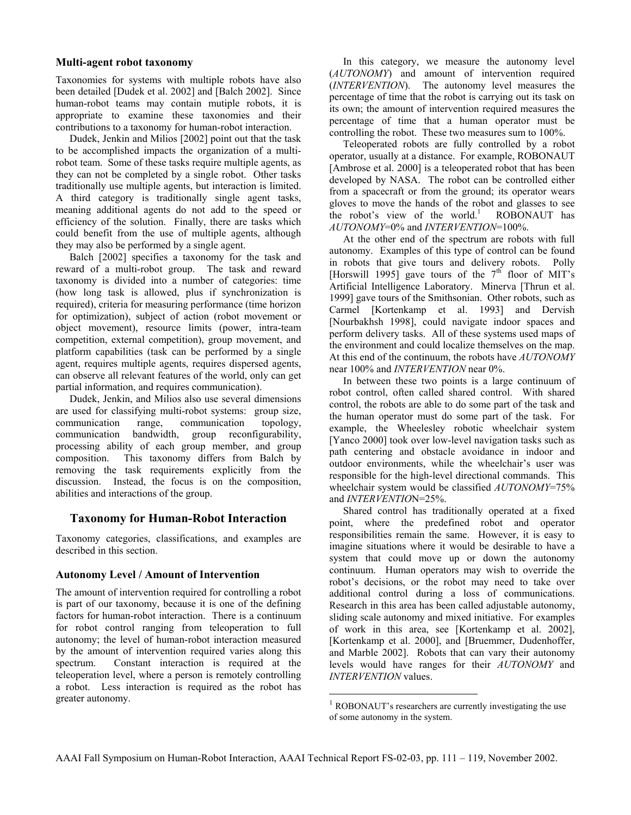## **Multi-agent robot taxonomy**

Taxonomies for systems with multiple robots have also been detailed [Dudek et al. 2002] and [Balch 2002]. Since human-robot teams may contain mutiple robots, it is appropriate to examine these taxonomies and their contributions to a taxonomy for human-robot interaction.

Dudek, Jenkin and Milios [2002] point out that the task to be accomplished impacts the organization of a multirobot team. Some of these tasks require multiple agents, as they can not be completed by a single robot. Other tasks traditionally use multiple agents, but interaction is limited. A third category is traditionally single agent tasks, meaning additional agents do not add to the speed or efficiency of the solution. Finally, there are tasks which could benefit from the use of multiple agents, although they may also be performed by a single agent.

Balch [2002] specifies a taxonomy for the task and reward of a multi-robot group. The task and reward taxonomy is divided into a number of categories: time (how long task is allowed, plus if synchronization is required), criteria for measuring performance (time horizon for optimization), subject of action (robot movement or object movement), resource limits (power, intra-team competition, external competition), group movement, and platform capabilities (task can be performed by a single agent, requires multiple agents, requires dispersed agents, can observe all relevant features of the world, only can get partial information, and requires communication).

Dudek, Jenkin, and Milios also use several dimensions are used for classifying multi-robot systems: group size, communication range, communication topology, communication bandwidth, group reconfigurability, processing ability of each group member, and group composition. This taxonomy differs from Balch by removing the task requirements explicitly from the discussion. Instead, the focus is on the composition, abilities and interactions of the group.

## **Taxonomy for Human-Robot Interaction**

Taxonomy categories, classifications, and examples are described in this section.

## **Autonomy Level / Amount of Intervention**

The amount of intervention required for controlling a robot is part of our taxonomy, because it is one of the defining factors for human-robot interaction. There is a continuum for robot control ranging from teleoperation to full autonomy; the level of human-robot interaction measured by the amount of intervention required varies along this spectrum. Constant interaction is required at the teleoperation level, where a person is remotely controlling a robot. Less interaction is required as the robot has greater autonomy.

In this category, we measure the autonomy level (*AUTONOMY*) and amount of intervention required (*INTERVENTION*). The autonomy level measures the percentage of time that the robot is carrying out its task on its own; the amount of intervention required measures the percentage of time that a human operator must be controlling the robot. These two measures sum to 100%.

Teleoperated robots are fully controlled by a robot operator, usually at a distance. For example, ROBONAUT [Ambrose et al. 2000] is a teleoperated robot that has been developed by NASA. The robot can be controlled either from a spacecraft or from the ground; its operator wears gloves to move the hands of the robot and glasses to see the robot's view of the world.<sup>1</sup> ROBONAUT has *AUTONOMY*=0% and *INTERVENTION*=100%.

At the other end of the spectrum are robots with full autonomy. Examples of this type of control can be found in robots that give tours and delivery robots. Polly [Horswill 1995] gave tours of the  $7<sup>th</sup>$  floor of MIT's Artificial Intelligence Laboratory. Minerva [Thrun et al. 1999] gave tours of the Smithsonian. Other robots, such as Carmel [Kortenkamp et al. 1993] and Dervish [Nourbakhsh 1998], could navigate indoor spaces and perform delivery tasks. All of these systems used maps of the environment and could localize themselves on the map. At this end of the continuum, the robots have *AUTONOMY* near 100% and *INTERVENTION* near 0%.

In between these two points is a large continuum of robot control, often called shared control. With shared control, the robots are able to do some part of the task and the human operator must do some part of the task. For example, the Wheelesley robotic wheelchair system [Yanco 2000] took over low-level navigation tasks such as path centering and obstacle avoidance in indoor and outdoor environments, while the wheelchair's user was responsible for the high-level directional commands. This wheelchair system would be classified *AUTONOMY*=75% and *INTERVENTIO*N=25%.

Shared control has traditionally operated at a fixed point, where the predefined robot and operator responsibilities remain the same. However, it is easy to imagine situations where it would be desirable to have a system that could move up or down the autonomy continuum. Human operators may wish to override the robot's decisions, or the robot may need to take over additional control during a loss of communications. Research in this area has been called adjustable autonomy, sliding scale autonomy and mixed initiative. For examples of work in this area, see [Kortenkamp et al. 2002], [Kortenkamp et al. 2000], and [Bruemmer, Dudenhoffer, and Marble 2002]. Robots that can vary their autonomy levels would have ranges for their *AUTONOMY* and *INTERVENTION* values.

 $\overline{a}$ 

ROBONAUT's researchers are currently investigating the use of some autonomy in the system.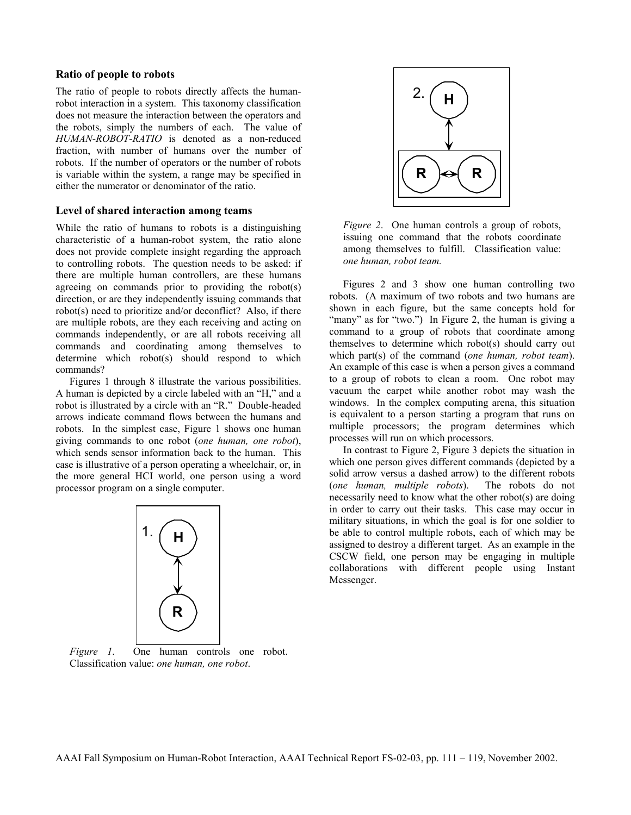## **Ratio of people to robots**

The ratio of people to robots directly affects the humanrobot interaction in a system. This taxonomy classification does not measure the interaction between the operators and the robots, simply the numbers of each. The value of *HUMAN-ROBOT-RATIO* is denoted as a non-reduced fraction, with number of humans over the number of robots. If the number of operators or the number of robots is variable within the system, a range may be specified in either the numerator or denominator of the ratio.

#### **Level of shared interaction among teams**

While the ratio of humans to robots is a distinguishing characteristic of a human-robot system, the ratio alone does not provide complete insight regarding the approach to controlling robots. The question needs to be asked: if there are multiple human controllers, are these humans agreeing on commands prior to providing the robot(s) direction, or are they independently issuing commands that robot(s) need to prioritize and/or deconflict? Also, if there are multiple robots, are they each receiving and acting on commands independently, or are all robots receiving all commands and coordinating among themselves to determine which robot(s) should respond to which commands?

Figures 1 through 8 illustrate the various possibilities. A human is depicted by a circle labeled with an "H," and a robot is illustrated by a circle with an "R." Double-headed arrows indicate command flows between the humans and robots. In the simplest case, Figure 1 shows one human giving commands to one robot (*one human, one robot*), which sends sensor information back to the human. This case is illustrative of a person operating a wheelchair, or, in the more general HCI world, one person using a word processor program on a single computer.



*Figure 1*. One human controls one robot. Classification value: *one human, one robot*.



*Figure 2*. One human controls a group of robots, issuing one command that the robots coordinate among themselves to fulfill. Classification value: *one human, robot team.*

Figures 2 and 3 show one human controlling two robots. (A maximum of two robots and two humans are shown in each figure, but the same concepts hold for "many" as for "two.") In Figure 2, the human is giving a command to a group of robots that coordinate among themselves to determine which robot(s) should carry out which part(s) of the command (*one human, robot team*). An example of this case is when a person gives a command to a group of robots to clean a room. One robot may vacuum the carpet while another robot may wash the windows. In the complex computing arena, this situation is equivalent to a person starting a program that runs on multiple processors; the program determines which processes will run on which processors.

In contrast to Figure 2, Figure 3 depicts the situation in which one person gives different commands (depicted by a solid arrow versus a dashed arrow) to the different robots (*one human, multiple robots*). The robots do not necessarily need to know what the other robot(s) are doing in order to carry out their tasks. This case may occur in military situations, in which the goal is for one soldier to be able to control multiple robots, each of which may be assigned to destroy a different target. As an example in the CSCW field, one person may be engaging in multiple collaborations with different people using Instant Messenger.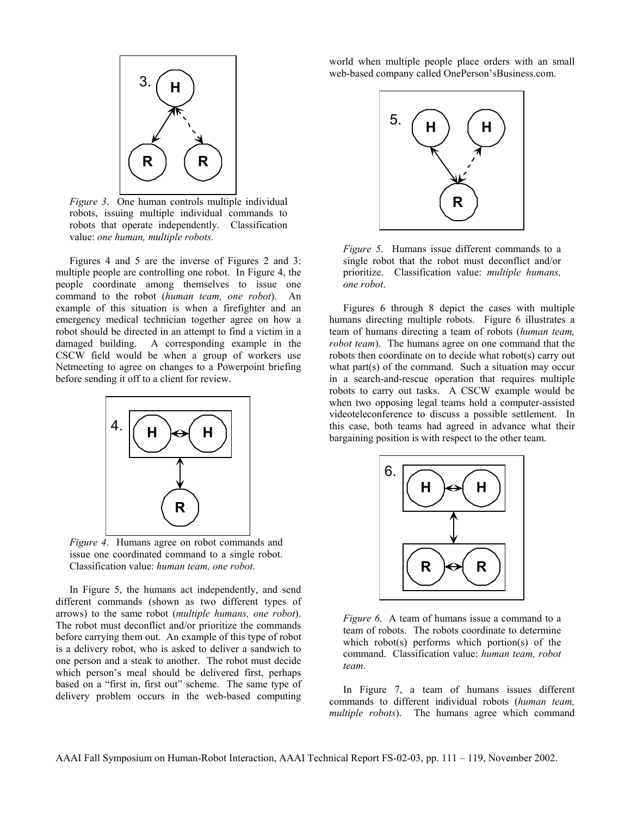

*Figure 3*. One human controls multiple individual robots, issuing multiple individual commands to robots that operate independently. Classification value: *one human, multiple robots.*

Figures 4 and 5 are the inverse of Figures 2 and 3: multiple people are controlling one robot. In Figure 4, the people coordinate among themselves to issue one command to the robot (*human team, one robot*). An example of this situation is when a firefighter and an emergency medical technician together agree on how a robot should be directed in an attempt to find a victim in a damaged building. A corresponding example in the CSCW field would be when a group of workers use Netmeeting to agree on changes to a Powerpoint briefing before sending it off to a client for review.



*Figure 4*. Humans agree on robot commands and issue one coordinated command to a single robot. Classification value: *human team, one robot*.

In Figure 5, the humans act independently, and send different commands (shown as two different types of arrows) to the same robot (*multiple humans, one robot*). The robot must deconflict and/or prioritize the commands before carrying them out. An example of this type of robot is a delivery robot, who is asked to deliver a sandwich to one person and a steak to another. The robot must decide which person's meal should be delivered first, perhaps based on a "first in, first out" scheme. The same type of delivery problem occurs in the web-based computing world when multiple people place orders with an small web-based company called OnePerson'sBusiness.com.



*Figure 5*. Humans issue different commands to a single robot that the robot must deconflict and/or prioritize. Classification value: *multiple humans, one robot*.

Figures 6 through 8 depict the cases with multiple humans directing multiple robots. Figure 6 illustrates a team of humans directing a team of robots (*human team, robot team*). The humans agree on one command that the robots then coordinate on to decide what robot(s) carry out what part(s) of the command. Such a situation may occur in a search-and-rescue operation that requires multiple robots to carry out tasks. A CSCW example would be when two opposing legal teams hold a computer-assisted videoteleconference to discuss a possible settlement. In this case, both teams had agreed in advance what their bargaining position is with respect to the other team.



*Figure 6.* A team of humans issue a command to a team of robots. The robots coordinate to determine which robot(s) performs which portion(s) of the command. Classification value: *human team, robot team*.

In Figure 7, a team of humans issues different commands to different individual robots (*human team, multiple robots*). The humans agree which command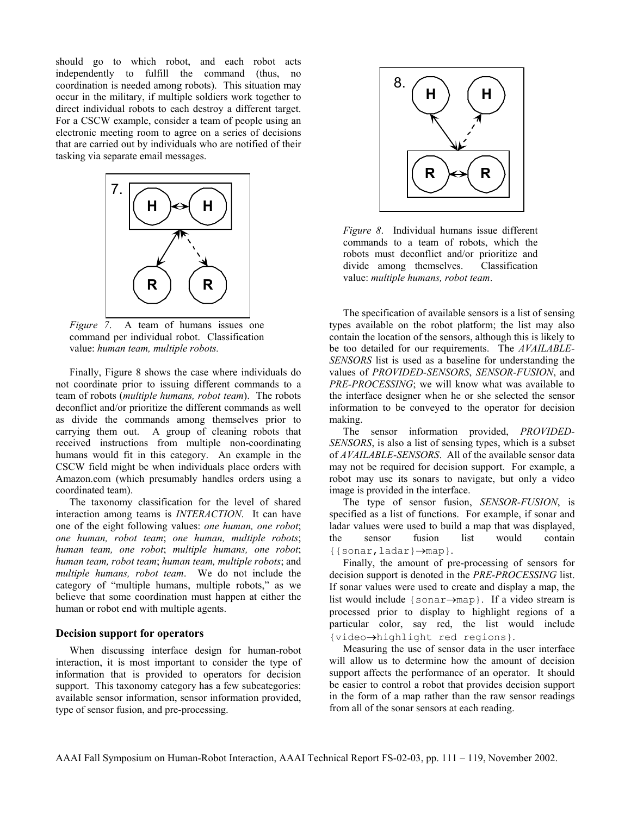should go to which robot, and each robot acts independently to fulfill the command (thus, no coordination is needed among robots). This situation may occur in the military, if multiple soldiers work together to direct individual robots to each destroy a different target. For a CSCW example, consider a team of people using an electronic meeting room to agree on a series of decisions that are carried out by individuals who are notified of their tasking via separate email messages.



*Figure 7*. A team of humans issues one command per individual robot. Classification value: *human team, multiple robots.*

Finally, Figure 8 shows the case where individuals do not coordinate prior to issuing different commands to a team of robots (*multiple humans, robot team*). The robots deconflict and/or prioritize the different commands as well as divide the commands among themselves prior to carrying them out. A group of cleaning robots that received instructions from multiple non-coordinating humans would fit in this category. An example in the CSCW field might be when individuals place orders with Amazon.com (which presumably handles orders using a coordinated team).

The taxonomy classification for the level of shared interaction among teams is *INTERACTION*. It can have one of the eight following values: *one human, one robot*; *one human, robot team*; *one human, multiple robots*; *human team, one robot*; *multiple humans, one robot*; *human team, robot team*; *human team, multiple robots*; and *multiple humans, robot team*. We do not include the category of "multiple humans, multiple robots," as we believe that some coordination must happen at either the human or robot end with multiple agents.

#### **Decision support for operators**

When discussing interface design for human-robot interaction, it is most important to consider the type of information that is provided to operators for decision support. This taxonomy category has a few subcategories: available sensor information, sensor information provided, type of sensor fusion, and pre-processing.



*Figure 8*. Individual humans issue different commands to a team of robots, which the robots must deconflict and/or prioritize and divide among themselves. Classification value: *multiple humans, robot team*.

The specification of available sensors is a list of sensing types available on the robot platform; the list may also contain the location of the sensors, although this is likely to be too detailed for our requirements. The *AVAILABLE-SENSORS* list is used as a baseline for understanding the values of *PROVIDED-SENSORS*, *SENSOR-FUSION*, and *PRE-PROCESSING*; we will know what was available to the interface designer when he or she selected the sensor information to be conveyed to the operator for decision making.

The sensor information provided, *PROVIDED-SENSORS*, is also a list of sensing types, which is a subset of *AVAILABLE-SENSORS*. All of the available sensor data may not be required for decision support. For example, a robot may use its sonars to navigate, but only a video image is provided in the interface.

The type of sensor fusion, *SENSOR-FUSION*, is specified as a list of functions. For example, if sonar and ladar values were used to build a map that was displayed, the sensor fusion list would contain {{sonar,ladar}→map}.

Finally, the amount of pre-processing of sensors for decision support is denoted in the *PRE-PROCESSING* list. If sonar values were used to create and display a map, the list would include {sonar→map}. If a video stream is processed prior to display to highlight regions of a particular color, say red, the list would include {video→highlight red regions}.

Measuring the use of sensor data in the user interface will allow us to determine how the amount of decision support affects the performance of an operator. It should be easier to control a robot that provides decision support in the form of a map rather than the raw sensor readings from all of the sonar sensors at each reading.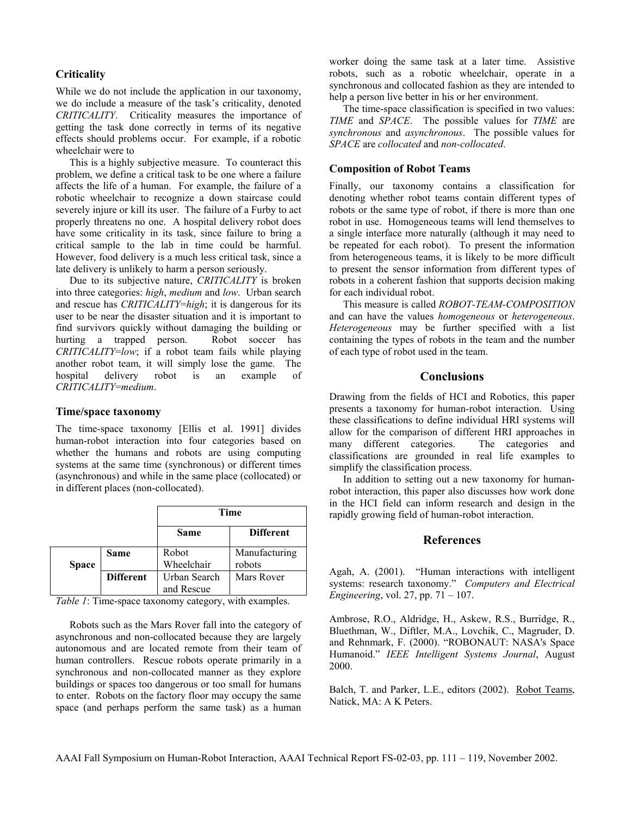## **Criticality**

While we do not include the application in our taxonomy, we do include a measure of the task's criticality, denoted *CRITICALITY*. Criticality measures the importance of getting the task done correctly in terms of its negative effects should problems occur. For example, if a robotic wheelchair were to

This is a highly subjective measure. To counteract this problem, we define a critical task to be one where a failure affects the life of a human. For example, the failure of a robotic wheelchair to recognize a down staircase could severely injure or kill its user. The failure of a Furby to act properly threatens no one. A hospital delivery robot does have some criticality in its task, since failure to bring a critical sample to the lab in time could be harmful. However, food delivery is a much less critical task, since a late delivery is unlikely to harm a person seriously.

Due to its subjective nature, *CRITICALITY* is broken into three categories: *high*, *medium* and *low*. Urban search and rescue has *CRITICALITY*=*high*; it is dangerous for its user to be near the disaster situation and it is important to find survivors quickly without damaging the building or hurting a trapped person. Robot soccer has *CRITICALITY*=*low*; if a robot team fails while playing another robot team, it will simply lose the game. The hospital delivery robot is an example of *CRITICALITY*=*medium*.

## **Time/space taxonomy**

The time-space taxonomy [Ellis et al. 1991] divides human-robot interaction into four categories based on whether the humans and robots are using computing systems at the same time (synchronous) or different times (asynchronous) and while in the same place (collocated) or in different places (non-collocated).

|              |                  | Time                       |                         |
|--------------|------------------|----------------------------|-------------------------|
|              |                  | <b>Same</b>                | <b>Different</b>        |
| <b>Space</b> | <b>Same</b>      | Robot<br>Wheelchair        | Manufacturing<br>robots |
|              | <b>Different</b> | Urban Search<br>and Rescue | Mars Rover              |

*Table 1*: Time-space taxonomy category, with examples.

Robots such as the Mars Rover fall into the category of asynchronous and non-collocated because they are largely autonomous and are located remote from their team of human controllers. Rescue robots operate primarily in a synchronous and non-collocated manner as they explore buildings or spaces too dangerous or too small for humans to enter. Robots on the factory floor may occupy the same space (and perhaps perform the same task) as a human worker doing the same task at a later time. Assistive robots, such as a robotic wheelchair, operate in a synchronous and collocated fashion as they are intended to help a person live better in his or her environment.

The time-space classification is specified in two values: *TIME* and *SPACE*. The possible values for *TIME* are *synchronous* and *asynchronous*. The possible values for *SPACE* are *collocated* and *non-collocated*.

## **Composition of Robot Teams**

Finally, our taxonomy contains a classification for denoting whether robot teams contain different types of robots or the same type of robot, if there is more than one robot in use. Homogeneous teams will lend themselves to a single interface more naturally (although it may need to be repeated for each robot). To present the information from heterogeneous teams, it is likely to be more difficult to present the sensor information from different types of robots in a coherent fashion that supports decision making for each individual robot.

This measure is called *ROBOT-TEAM-COMPOSITION* and can have the values *homogeneous* or *heterogeneous*. *Heterogeneous* may be further specified with a list containing the types of robots in the team and the number of each type of robot used in the team.

## **Conclusions**

Drawing from the fields of HCI and Robotics, this paper presents a taxonomy for human-robot interaction. Using these classifications to define individual HRI systems will allow for the comparison of different HRI approaches in many different categories. The categories and classifications are grounded in real life examples to simplify the classification process.

In addition to setting out a new taxonomy for humanrobot interaction, this paper also discusses how work done in the HCI field can inform research and design in the rapidly growing field of human-robot interaction.

## **References**

Agah, A. (2001). "Human interactions with intelligent systems: research taxonomy." *Computers and Electrical Engineering*, vol. 27, pp. 71 – 107.

Ambrose, R.O., Aldridge, H., Askew, R.S., Burridge, R., Bluethman, W., Diftler, M.A., Lovchik, C., Magruder, D. and Rehnmark, F. (2000). "ROBONAUT: NASA's Space Humanoid." *IEEE Intelligent Systems Journal*, August 2000.

Balch, T. and Parker, L.E., editors (2002). Robot Teams, Natick, MA: A K Peters.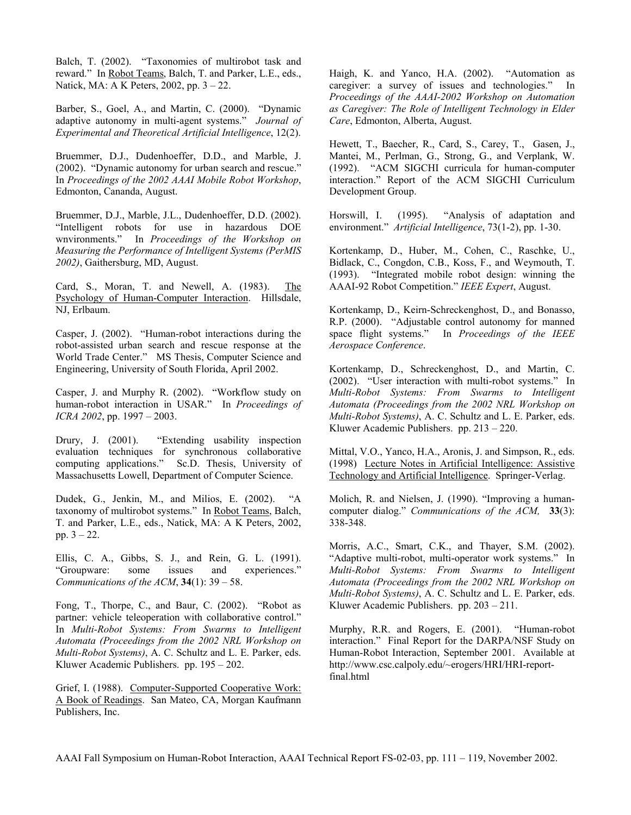Balch, T. (2002). "Taxonomies of multirobot task and reward." In Robot Teams, Balch, T. and Parker, L.E., eds., Natick, MA: A K Peters, 2002, pp. 3 – 22.

Barber, S., Goel, A., and Martin, C. (2000). "Dynamic adaptive autonomy in multi-agent systems." *Journal of Experimental and Theoretical Artificial Intelligence*, 12(2).

Bruemmer, D.J., Dudenhoeffer, D.D., and Marble, J. (2002). "Dynamic autonomy for urban search and rescue." In *Proceedings of the 2002 AAAI Mobile Robot Workshop*, Edmonton, Cananda, August.

Bruemmer, D.J., Marble, J.L., Dudenhoeffer, D.D. (2002). "Intelligent robots for use in hazardous DOE wnvironments." In *Proceedings of the Workshop on Measuring the Performance of Intelligent Systems (PerMIS 2002)*, Gaithersburg, MD, August.

Card, S., Moran, T. and Newell, A. (1983). The Psychology of Human-Computer Interaction. Hillsdale, NJ, Erlbaum.

Casper, J. (2002). "Human-robot interactions during the robot-assisted urban search and rescue response at the World Trade Center." MS Thesis, Computer Science and Engineering, University of South Florida, April 2002.

Casper, J. and Murphy R. (2002). "Workflow study on human-robot interaction in USAR." In *Proceedings of ICRA 2002*, pp. 1997 – 2003.

Drury, J. (2001). "Extending usability inspection evaluation techniques for synchronous collaborative computing applications." Sc.D. Thesis, University of Massachusetts Lowell, Department of Computer Science.

Dudek, G., Jenkin, M., and Milios, E. (2002). "A taxonomy of multirobot systems." In Robot Teams, Balch, T. and Parker, L.E., eds., Natick, MA: A K Peters, 2002, pp.  $3 - 22$ .

Ellis, C. A., Gibbs, S. J., and Rein, G. L. (1991). "Groupware: some issues and experiences." *Communications of the ACM*, **34**(1): 39 – 58.

Fong, T., Thorpe, C., and Baur, C. (2002). "Robot as partner: vehicle teleoperation with collaborative control." In *Multi-Robot Systems: From Swarms to Intelligent Automata (Proceedings from the 2002 NRL Workshop on Multi-Robot Systems)*, A. C. Schultz and L. E. Parker, eds. Kluwer Academic Publishers. pp. 195 – 202.

Grief, I. (1988). Computer-Supported Cooperative Work: A Book of Readings. San Mateo, CA, Morgan Kaufmann Publishers, Inc.

Haigh, K. and Yanco, H.A. (2002). "Automation as caregiver: a survey of issues and technologies." In *Proceedings of the AAAI-2002 Workshop on Automation as Caregiver: The Role of Intelligent Technology in Elder Care*, Edmonton, Alberta, August.

Hewett, T., Baecher, R., Card, S., Carey, T., Gasen, J., Mantei, M., Perlman, G., Strong, G., and Verplank, W. (1992). "ACM SIGCHI curricula for human-computer interaction." Report of the ACM SIGCHI Curriculum Development Group.

Horswill, I. (1995). "Analysis of adaptation and environment." *Artificial Intelligence*, 73(1-2), pp. 1-30.

Kortenkamp, D., Huber, M., Cohen, C., Raschke, U., Bidlack, C., Congdon, C.B., Koss, F., and Weymouth, T. (1993). "Integrated mobile robot design: winning the AAAI-92 Robot Competition." *IEEE Expert*, August.

Kortenkamp, D., Keirn-Schreckenghost, D., and Bonasso, R.P. (2000). "Adjustable control autonomy for manned space flight systems." In *Proceedings of the IEEE Aerospace Conference*.

Kortenkamp, D., Schreckenghost, D., and Martin, C. (2002). "User interaction with multi-robot systems." In *Multi-Robot Systems: From Swarms to Intelligent Automata (Proceedings from the 2002 NRL Workshop on Multi-Robot Systems)*, A. C. Schultz and L. E. Parker, eds. Kluwer Academic Publishers. pp. 213 – 220.

Mittal, V.O., Yanco, H.A., Aronis, J. and Simpson, R., eds. (1998) Lecture Notes in Artificial Intelligence: Assistive Technology and Artificial Intelligence. Springer-Verlag.

Molich, R. and Nielsen, J. (1990). "Improving a humancomputer dialog." *Communications of the ACM,* **33**(3): 338-348.

Morris, A.C., Smart, C.K., and Thayer, S.M. (2002). "Adaptive multi-robot, multi-operator work systems." In *Multi-Robot Systems: From Swarms to Intelligent Automata (Proceedings from the 2002 NRL Workshop on Multi-Robot Systems)*, A. C. Schultz and L. E. Parker, eds. Kluwer Academic Publishers. pp. 203 – 211.

Murphy, R.R. and Rogers, E. (2001). "Human-robot interaction." Final Report for the DARPA/NSF Study on Human-Robot Interaction, September 2001. Available at http://www.csc.calpoly.edu/~erogers/HRI/HRI-reportfinal.html